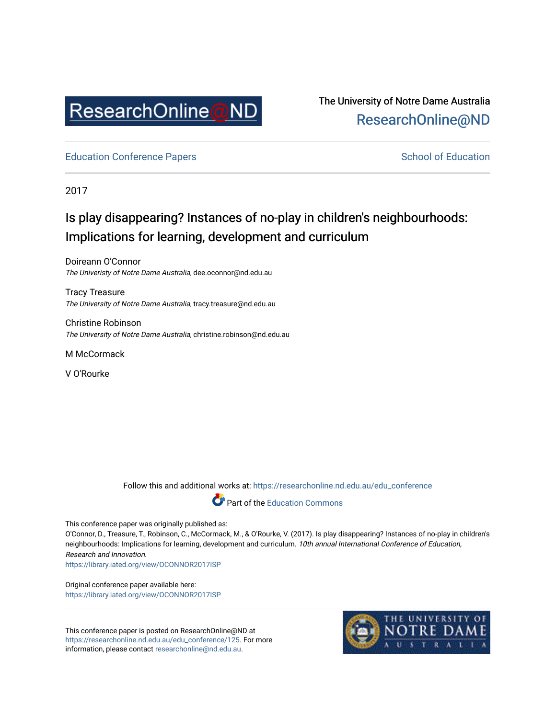

## The University of Notre Dame Australia [ResearchOnline@ND](https://researchonline.nd.edu.au/)

[Education Conference Papers](https://researchonline.nd.edu.au/edu_conference) **School of Education** School of Education

2017

# Is play disappearing? Instances of no-play in children's neighbourhoods: Implications for learning, development and curriculum

Doireann O'Connor The Univeristy of Notre Dame Australia, dee.oconnor@nd.edu.au

Tracy Treasure The University of Notre Dame Australia, tracy.treasure@nd.edu.au

Christine Robinson The University of Notre Dame Australia, christine.robinson@nd.edu.au

M McCormack

V O'Rourke

Follow this and additional works at: [https://researchonline.nd.edu.au/edu\\_conference](https://researchonline.nd.edu.au/edu_conference?utm_source=researchonline.nd.edu.au%2Fedu_conference%2F125&utm_medium=PDF&utm_campaign=PDFCoverPages)



This conference paper was originally published as:

O'Connor, D., Treasure, T., Robinson, C., McCormack, M., & O'Rourke, V. (2017). Is play disappearing? Instances of no-play in children's neighbourhoods: Implications for learning, development and curriculum. 10th annual International Conference of Education, Research and Innovation.

<https://library.iated.org/view/OCONNOR2017ISP>

Original conference paper available here: <https://library.iated.org/view/OCONNOR2017ISP>

This conference paper is posted on ResearchOnline@ND at [https://researchonline.nd.edu.au/edu\\_conference/125](https://researchonline.nd.edu.au/edu_conference/125). For more information, please contact [researchonline@nd.edu.au.](mailto:researchonline@nd.edu.au)

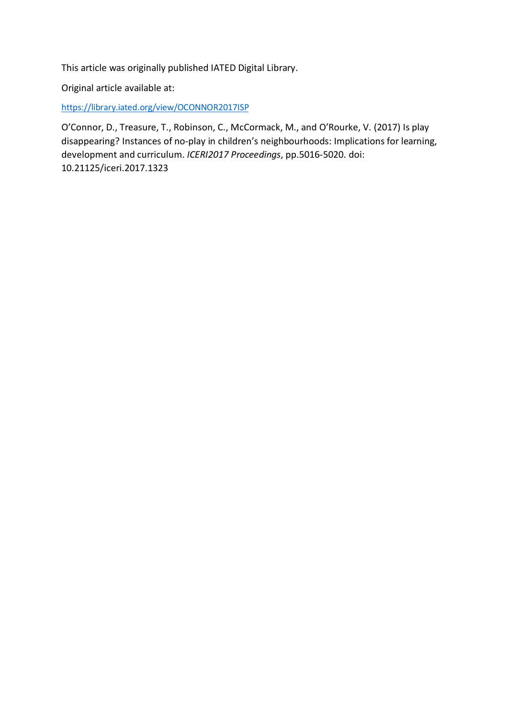This article was originally published IATED Digital Library.

Original article available at:

[https://library.iated.org/view/OCONNOR2017ISP](https://protect-au.mimecast.com/s/eqjuCWLV87UrwGmU6vRpR?domain=library.iated.org)

O'Connor, D., Treasure, T., Robinson, C., McCormack, M., and O'Rourke, V. (2017) Is play disappearing? Instances of no-play in children's neighbourhoods: Implications for learning, development and curriculum. *ICERI2017 Proceedings*, pp.5016-5020. doi: 10.21125/iceri.2017.1323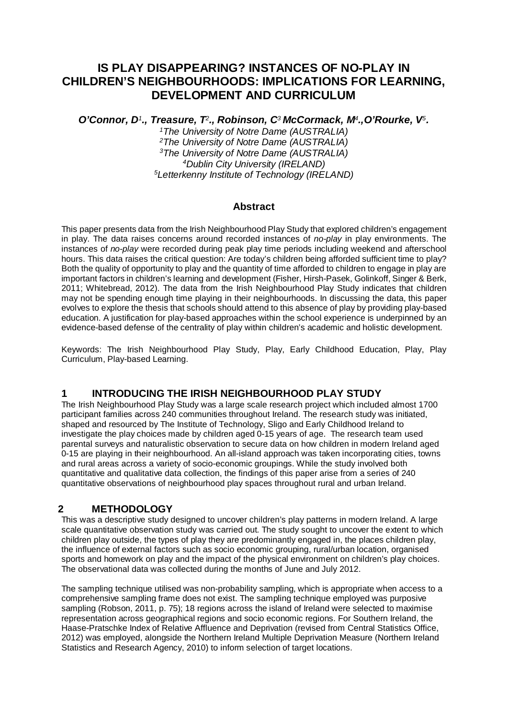## **IS PLAY DISAPPEARING? INSTANCES OF NO-PLAY IN CHILDREN'S NEIGHBOURHOODS: IMPLICATIONS FOR LEARNING, DEVELOPMENT AND CURRICULUM**

*O'Connor, D1., Treasure, T2., Robinson, C3 McCormack, M4.,O'Rourke, V5.* 

*1The University of Notre Dame (AUSTRALIA) 2The University of Notre Dame (AUSTRALIA) 3The University of Notre Dame (AUSTRALIA) 4Dublin City University (IRELAND) 5Letterkenny Institute of Technology (IRELAND)* 

#### **Abstract**

This paper presents data from the Irish Neighbourhood Play Study that explored children's engagement in play. The data raises concerns around recorded instances of *no-play* in play environments. The instances of *no-play* were recorded during peak play time periods including weekend and afterschool hours. This data raises the critical question: Are today's children being afforded sufficient time to play? Both the quality of opportunity to play and the quantity of time afforded to children to engage in play are important factors in children's learning and development (Fisher, Hirsh-Pasek, Golinkoff, Singer & Berk, 2011; Whitebread, 2012). The data from the Irish Neighbourhood Play Study indicates that children may not be spending enough time playing in their neighbourhoods. In discussing the data, this paper evolves to explore the thesis that schools should attend to this absence of play by providing play-based education. A justification for play-based approaches within the school experience is underpinned by an evidence-based defense of the centrality of play within children's academic and holistic development.

Keywords: The Irish Neighbourhood Play Study, Play, Early Childhood Education, Play, Play Curriculum, Play-based Learning.

#### **1 INTRODUCING THE IRISH NEIGHBOURHOOD PLAY STUDY**

The Irish Neighbourhood Play Study was a large scale research project which included almost 1700 participant families across 240 communities throughout Ireland. The research study was initiated, shaped and resourced by The Institute of Technology, Sligo and Early Childhood Ireland to investigate the play choices made by children aged 0-15 years of age. The research team used parental surveys and naturalistic observation to secure data on how children in modern Ireland aged 0-15 are playing in their neighbourhood. An all-island approach was taken incorporating cities, towns and rural areas across a variety of socio-economic groupings. While the study involved both quantitative and qualitative data collection, the findings of this paper arise from a series of 240 quantitative observations of neighbourhood play spaces throughout rural and urban Ireland.

## **2 METHODOLOGY**

This was a descriptive study designed to uncover children's play patterns in modern Ireland. A large scale quantitative observation study was carried out. The study sought to uncover the extent to which children play outside, the types of play they are predominantly engaged in, the places children play, the influence of external factors such as socio economic grouping, rural/urban location, organised sports and homework on play and the impact of the physical environment on children's play choices. The observational data was collected during the months of June and July 2012.

The sampling technique utilised was non-probability sampling, which is appropriate when access to a comprehensive sampling frame does not exist. The sampling technique employed was purposive sampling (Robson, 2011, p. 75); 18 regions across the island of Ireland were selected to maximise representation across geographical regions and socio economic regions. For Southern Ireland, the Haase-Pratschke Index of Relative Affluence and Deprivation (revised from Central Statistics Office, 2012) was employed, alongside the Northern Ireland Multiple Deprivation Measure (Northern Ireland Statistics and Research Agency, 2010) to inform selection of target locations.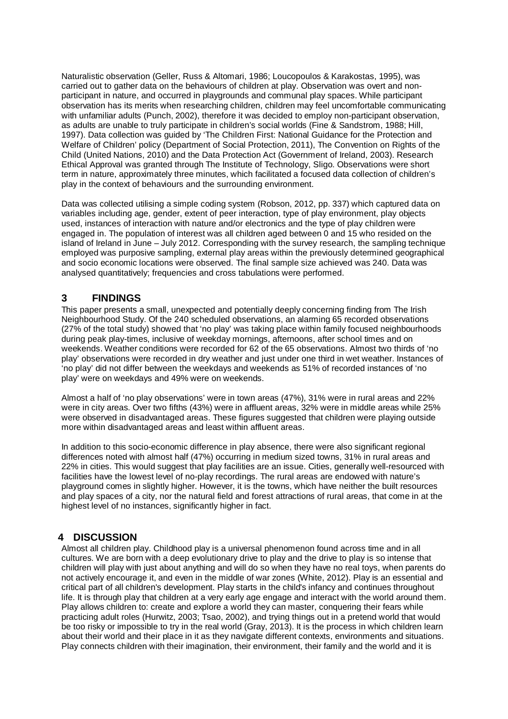Naturalistic observation (Geller, Russ & Altomari, 1986; Loucopoulos & Karakostas, 1995), was carried out to gather data on the behaviours of children at play. Observation was overt and nonparticipant in nature, and occurred in playgrounds and communal play spaces. While participant observation has its merits when researching children, children may feel uncomfortable communicating with unfamiliar adults (Punch, 2002), therefore it was decided to employ non-participant observation, as adults are unable to truly participate in children's social worlds (Fine & Sandstrom, 1988; Hill, 1997). Data collection was guided by 'The Children First: National Guidance for the Protection and Welfare of Children' policy (Department of Social Protection, 2011), The Convention on Rights of the Child (United Nations, 2010) and the Data Protection Act (Government of Ireland, 2003). Research Ethical Approval was granted through The Institute of Technology, Sligo. Observations were short term in nature, approximately three minutes, which facilitated a focused data collection of children's play in the context of behaviours and the surrounding environment.

Data was collected utilising a simple coding system (Robson, 2012, pp. 337) which captured data on variables including age, gender, extent of peer interaction, type of play environment, play objects used, instances of interaction with nature and/or electronics and the type of play children were engaged in. The population of interest was all children aged between 0 and 15 who resided on the island of Ireland in June – July 2012. Corresponding with the survey research, the sampling technique employed was purposive sampling, external play areas within the previously determined geographical and socio economic locations were observed. The final sample size achieved was 240. Data was analysed quantitatively; frequencies and cross tabulations were performed.

#### **3 FINDINGS**

This paper presents a small, unexpected and potentially deeply concerning finding from The Irish Neighbourhood Study. Of the 240 scheduled observations, an alarming 65 recorded observations (27% of the total study) showed that 'no play' was taking place within family focused neighbourhoods during peak play-times, inclusive of weekday mornings, afternoons, after school times and on weekends. Weather conditions were recorded for 62 of the 65 observations. Almost two thirds of 'no play' observations were recorded in dry weather and just under one third in wet weather. Instances of 'no play' did not differ between the weekdays and weekends as 51% of recorded instances of 'no play' were on weekdays and 49% were on weekends.

Almost a half of 'no play observations' were in town areas (47%), 31% were in rural areas and 22% were in city areas. Over two fifths (43%) were in affluent areas, 32% were in middle areas while 25% were observed in disadvantaged areas. These figures suggested that children were playing outside more within disadvantaged areas and least within affluent areas.

In addition to this socio-economic difference in play absence, there were also significant regional differences noted with almost half (47%) occurring in medium sized towns, 31% in rural areas and 22% in cities. This would suggest that play facilities are an issue. Cities, generally well-resourced with facilities have the lowest level of no-play recordings. The rural areas are endowed with nature's playground comes in slightly higher. However, it is the towns, which have neither the built resources and play spaces of a city, nor the natural field and forest attractions of rural areas, that come in at the highest level of no instances, significantly higher in fact.

#### **4 DISCUSSION**

Almost all children play. Childhood play is a universal phenomenon found across time and in all cultures. We are born with a deep evolutionary drive to play and the drive to play is so intense that children will play with just about anything and will do so when they have no real toys, when parents do not actively encourage it, and even in the middle of war zones (White, 2012). Play is an essential and critical part of all children's development. Play starts in the child's infancy and continues throughout life. It is through play that children at a very early age engage and interact with the world around them. Play allows children to: create and explore a world they can master, conquering their fears while practicing adult roles (Hurwitz, 2003; Tsao, 2002), and trying things out in a pretend world that would be too risky or impossible to try in the real world (Gray, 2013). It is the process in which children learn about their world and their place in it as they navigate different contexts, environments and situations. Play connects children with their imagination, their environment, their family and the world and it is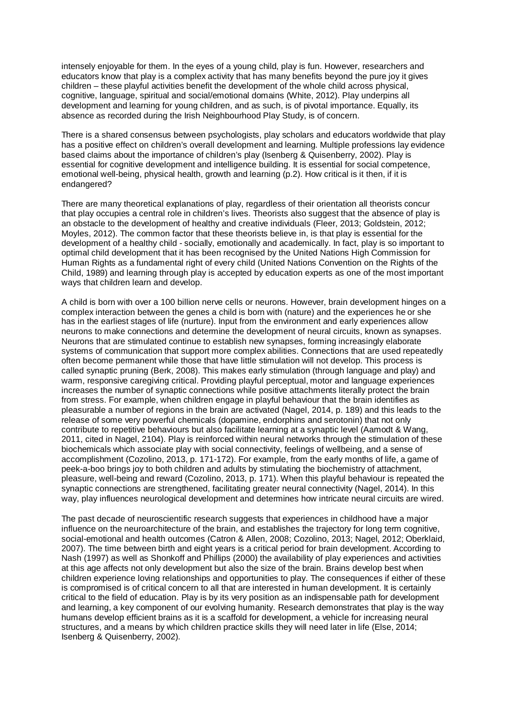intensely enjoyable for them. In the eyes of a young child, play is fun. However, researchers and educators know that play is a complex activity that has many benefits beyond the pure joy it gives children – these playful activities benefit the development of the whole child across physical, cognitive, language, spiritual and social/emotional domains (White, 2012). Play underpins all development and learning for young children, and as such, is of pivotal importance. Equally, its absence as recorded during the Irish Neighbourhood Play Study, is of concern.

There is a shared consensus between psychologists, play scholars and educators worldwide that play has a positive effect on children's overall development and learning. Multiple professions lay evidence based claims about the importance of children's play (Isenberg & Quisenberry, 2002). Play is essential for cognitive development and intelligence building. It is essential for social competence, emotional well-being, physical health, growth and learning (p.2). How critical is it then, if it is endangered?

There are many theoretical explanations of play, regardless of their orientation all theorists concur that play occupies a central role in children's lives. Theorists also suggest that the absence of play is an obstacle to the development of healthy and creative individuals (Fleer, 2013; Goldstein, 2012; Moyles, 2012). The common factor that these theorists believe in, is that play is essential for the development of a healthy child - socially, emotionally and academically. In fact, play is so important to optimal child development that it has been recognised by the United Nations High Commission for Human Rights as a fundamental right of every child (United Nations Convention on the Rights of the Child, 1989) and learning through play is accepted by education experts as one of the most important ways that children learn and develop.

A child is born with over a 100 billion nerve cells or neurons. However, brain development hinges on a complex interaction between the genes a child is born with (nature) and the experiences he or she has in the earliest stages of life (nurture). Input from the environment and early experiences allow neurons to make connections and determine the development of neural circuits, known as synapses. Neurons that are stimulated continue to establish new synapses, forming increasingly elaborate systems of communication that support more complex abilities. Connections that are used repeatedly often become permanent while those that have little stimulation will not develop. This process is called synaptic pruning (Berk, 2008). This makes early stimulation (through language and play) and warm, responsive caregiving critical. Providing playful perceptual, motor and language experiences increases the number of synaptic connections while positive attachments literally protect the brain from stress. For example, when children engage in playful behaviour that the brain identifies as pleasurable a number of regions in the brain are activated (Nagel, 2014, p. 189) and this leads to the release of some very powerful chemicals (dopamine, endorphins and serotonin) that not only contribute to repetitive behaviours but also facilitate learning at a synaptic level (Aamodt & Wang, 2011, cited in Nagel, 2104). Play is reinforced within neural networks through the stimulation of these biochemicals which associate play with social connectivity, feelings of wellbeing, and a sense of accomplishment (Cozolino, 2013, p. 171-172). For example, from the early months of life, a game of peek-a-boo brings joy to both children and adults by stimulating the biochemistry of attachment, pleasure, well-being and reward (Cozolino, 2013, p. 171). When this playful behaviour is repeated the synaptic connections are strengthened, facilitating greater neural connectivity (Nagel, 2014). In this way, play influences neurological development and determines how intricate neural circuits are wired.

The past decade of neuroscientific research suggests that experiences in childhood have a major influence on the neuroarchitecture of the brain, and establishes the trajectory for long term cognitive, social-emotional and health outcomes (Catron & Allen, 2008; Cozolino, 2013; Nagel, 2012; Oberklaid, 2007). The time between birth and eight years is a critical period for brain development. According to Nash (1997) as well as Shonkoff and Phillips (2000) the availability of play experiences and activities at this age affects not only development but also the size of the brain. Brains develop best when children experience loving relationships and opportunities to play. The consequences if either of these is compromised is of critical concern to all that are interested in human development. It is certainly critical to the field of education. Play is by its very position as an indispensable path for development and learning, a key component of our evolving humanity. Research demonstrates that play is the way humans develop efficient brains as it is a scaffold for development, a vehicle for increasing neural structures, and a means by which children practice skills they will need later in life (Else, 2014; Isenberg & Quisenberry, 2002).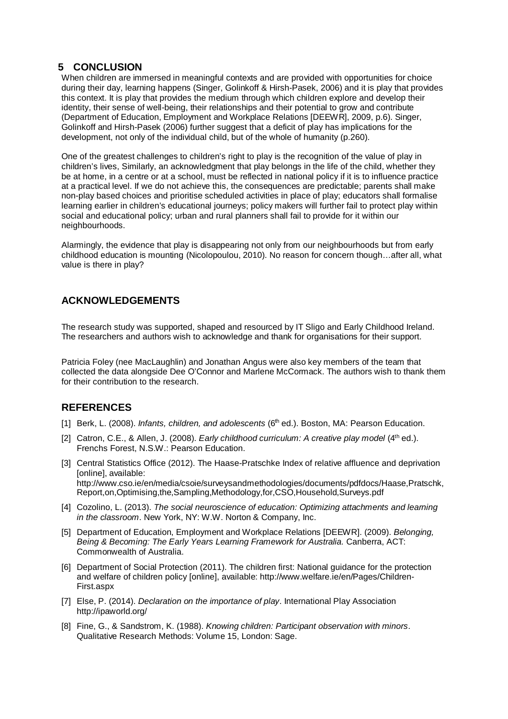#### **5 CONCLUSION**

When children are immersed in meaningful contexts and are provided with opportunities for choice during their day, learning happens (Singer, Golinkoff & Hirsh-Pasek, 2006) and it is play that provides this context. It is play that provides the medium through which children explore and develop their identity, their sense of well-being, their relationships and their potential to grow and contribute (Department of Education, Employment and Workplace Relations [DEEWR], 2009, p.6). Singer, Golinkoff and Hirsh-Pasek (2006) further suggest that a deficit of play has implications for the development, not only of the individual child, but of the whole of humanity (p.260).

One of the greatest challenges to children's right to play is the recognition of the value of play in children's lives, Similarly, an acknowledgment that play belongs in the life of the child, whether they be at home, in a centre or at a school, must be reflected in national policy if it is to influence practice at a practical level. If we do not achieve this, the consequences are predictable; parents shall make non-play based choices and prioritise scheduled activities in place of play; educators shall formalise learning earlier in children's educational journeys; policy makers will further fail to protect play within social and educational policy; urban and rural planners shall fail to provide for it within our neighbourhoods.

Alarmingly, the evidence that play is disappearing not only from our neighbourhoods but from early childhood education is mounting (Nicolopoulou, 2010). No reason for concern though…after all, what value is there in play?

## **ACKNOWLEDGEMENTS**

The research study was supported, shaped and resourced by IT Sligo and Early Childhood Ireland. The researchers and authors wish to acknowledge and thank for organisations for their support.

Patricia Foley (nee MacLaughlin) and Jonathan Angus were also key members of the team that collected the data alongside Dee O'Connor and Marlene McCormack. The authors wish to thank them for their contribution to the research.

#### **REFERENCES**

- [1] Berk, L. (2008). *Infants, children, and adolescents* (6<sup>th</sup> ed.). Boston, MA: Pearson Education.
- [2] Catron, C.E., & Allen, J. (2008). *Early childhood curriculum: A creative play model* (4<sup>th</sup> ed.). Frenchs Forest, N.S.W.: Pearson Education.
- [3] Central Statistics Office (2012). The Haase-Pratschke Index of relative affluence and deprivation [online], available: http://www.cso.ie/en/media/csoie/surveysandmethodologies/documents/pdfdocs/Haase,Pratschk, Report,on,Optimising,the,Sampling,Methodology,for,CSO,Household,Surveys.pdf
- [4] Cozolino, L. (2013). *The social neuroscience of education: Optimizing attachments and learning in the classroom*. New York, NY: W.W. Norton & Company, Inc.
- [5] Department of Education, Employment and Workplace Relations [DEEWR]. (2009). *Belonging, Being & Becoming: The Early Years Learning Framework for Australia.* Canberra, ACT: Commonwealth of Australia.
- [6] Department of Social Protection (2011). The children first: National guidance for the protection and welfare of children policy [online], available: http://www.welfare.ie/en/Pages/Children-First.aspx
- [7] Else, P. (2014). *Declaration on the importance of play*. International Play Association http://ipaworld.org/
- [8] Fine, G., & Sandstrom, K. (1988). *Knowing children: Participant observation with minors*. Qualitative Research Methods: Volume 15, London: Sage.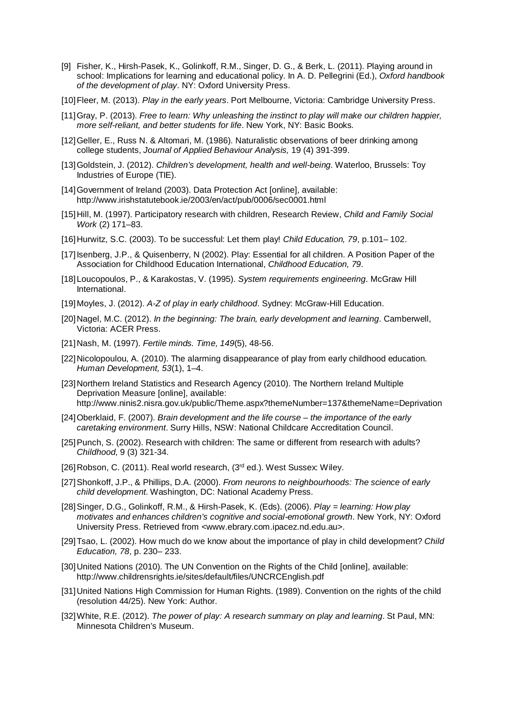- [9] Fisher, K., Hirsh-Pasek, K., Golinkoff, R.M., Singer, D. G., & Berk, L. (2011). Playing around in school: Implications for learning and educational policy. In A. D. Pellegrini (Ed.), *Oxford handbook of the development of play*. NY: Oxford University Press.
- [10]Fleer, M. (2013). *Play in the early years*. Port Melbourne, Victoria: Cambridge University Press.
- [11]Gray, P. (2013). *Free to learn: Why unleashing the instinct to play will make our children happier, more self-reliant, and better students for life*. New York, NY: Basic Books.
- [12]Geller, E., Russ N. & Altomari, M. (1986). Naturalistic observations of beer drinking among college students, *Journal of Applied Behaviour Analysis,* 19 (4) 391-399.
- [13]Goldstein, J. (2012). *Children's development, health and well-being*. Waterloo, Brussels: Toy Industries of Europe (TIE).
- [14] Government of Ireland (2003). Data Protection Act [online], available: http://www.irishstatutebook.ie/2003/en/act/pub/0006/sec0001.html
- [15]Hill, M. (1997). Participatory research with children, Research Review, *Child and Family Social Work* (2) 171–83.
- [16]Hurwitz, S.C. (2003). To be successful: Let them play! *Child Education, 79*, p.101– 102.
- [17] Isenberg, J.P., & Quisenberry, N (2002). Play: Essential for all children. A Position Paper of the Association for Childhood Education International, *Childhood Education, 79*.
- [18]Loucopoulos, P., & Karakostas, V. (1995). *System requirements engineering*. McGraw Hill International.
- [19]Moyles, J. (2012). *A-Z of play in early childhood*. Sydney: McGraw-Hill Education.
- [20]Nagel, M.C. (2012). *In the beginning: The brain, early development and learning*. Camberwell, Victoria: ACER Press.
- [21]Nash, M. (1997). *Fertile minds. Time, 149*(5), 48-56.
- [22]Nicolopoulou, A. (2010). The alarming disappearance of play from early childhood education. *Human Development, 53*(1), 1–4.
- [23]Northern Ireland Statistics and Research Agency (2010). The Northern Ireland Multiple Deprivation Measure [online], available: http://www.ninis2.nisra.gov.uk/public/Theme.aspx?themeNumber=137&themeName=Deprivation
- [24]Oberklaid, F. (2007). *Brain development and the life course – the importance of the early caretaking environment*. Surry Hills, NSW: National Childcare Accreditation Council.
- [25] Punch, S. (2002). Research with children: The same or different from research with adults? *Childhood,* 9 (3) 321-34.
- [26] Robson, C. (2011). Real world research, (3rd ed.). West Sussex: Wiley.
- [27]Shonkoff, J.P., & Phillips, D.A. (2000). *From neurons to neighbourhoods: The science of early child development*. Washington, DC: National Academy Press.
- [28]Singer, D.G., Golinkoff, R.M., & Hirsh-Pasek, K. (Eds). (2006). *Play = learning: How play motivates and enhances children's cognitive and social-emotional growth*. New York, NY: Oxford University Press. Retrieved from <www.ebrary.com.ipacez.nd.edu.au>.
- [29]Tsao, L. (2002). How much do we know about the importance of play in child development? *Child Education, 78*, p. 230– 233.
- [30] United Nations (2010). The UN Convention on the Rights of the Child [online], available: http://www.childrensrights.ie/sites/default/files/UNCRCEnglish.pdf
- [31]United Nations High Commission for Human Rights. (1989). Convention on the rights of the child (resolution 44/25). New York: Author.
- [32]White, R.E. (2012). *The power of play: A research summary on play and learning*. St Paul, MN: Minnesota Children's Museum.